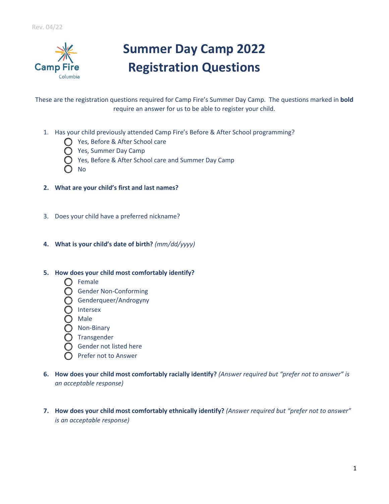

## **Summer Day Camp 2022 Registration Questions**

These are the registration questions required for Camp Fire's Summer Day Camp. The questions marked in **bold** require an answer for us to be able to register your child.

- 1. Has your child previously attended Camp Fire's Before & After School programming?
	- Yes, Before & After School care
	- **C** Yes, Summer Day Camp
	- $\bigcirc$  Yes, Before & After School care and Summer Day Camp
	- N<sub>o</sub>
- **2. What are your child's first and last names?**
- 3. Does your child have a preferred nickname?
- **4. What is your child's date of birth?** *(mm/dd/yyyy)*
- **5. How does your child most comfortably identify?**
	- $\bigcap$  Female
	- **C** Gender Non-Conforming
	- Genderqueer/Androgyny
	- $\bigcap$  Intersex
	- $\bigcirc$  Male
	- $\bigcirc$  Non-Binary
	- $\bigcirc$  Transgender
	- $\bigcirc$  Gender not listed here
	- $\bigcap$  Prefer not to Answer
- **6. How does your child most comfortably racially identify?** *(Answer required but "prefer not to answer" is an acceptable response)*
- **7. How does your child most comfortably ethnically identify?** *(Answer required but "prefer not to answer" is an acceptable response)*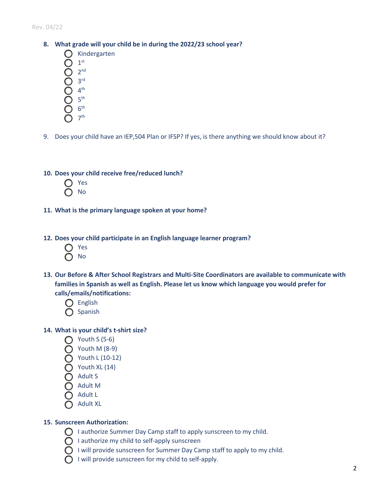Rev. 04/22

- **8. What grade will your child be in during the 2022/23 school year?**
	- $\bigcap$  Kindergarten
	- $1<sup>st</sup>$
	- $2<sup>nd</sup>$
	- d. 3rd
	- $4<sup>th</sup>$
	- 5<sup>th</sup>
	- $6<sup>th</sup>$
	- h. 7th
- 9. Does your child have an IEP,504 Plan or IFSP? If yes, is there anything we should know about it?
- **10. Does your child receive free/reduced lunch?**
	- a. Yes b. No
- **11. What is the primary language spoken at your home?**
- **12. Does your child participate in an English language learner program?**
	- Yes b. No
- **13. Our Before & After School Registrars and Multi-Site Coordinators are available to communicate with families in Spanish as well as English. Please let us know which language you would prefer for calls/emails/notifications:**
	- $\bigcap$  English  $\bigcap$  Spanish
- **14. What is your child's t-shirt size?**
	- $\bigcap$  Youth S (5-6)
	- $\bigcap$  Youth M (8-9)
	- $\bigcirc$  Youth L (10-12)
	- $\bigcap$  Youth XL (14)
	- dult S
	- $\bigcap$  Adult M
	- g. Adult L
	-
	- **Adult XL**

## **15. Sunscreen Authorization:**

- $\bigcirc$  I authorize Summer Day Camp staff to apply sunscreen to my child.
- $\bigcirc$  I authorize my child to self-apply sunscreen
- $\bigcirc$  I will provide sunscreen for Summer Day Camp staff to apply to my child.
- $\bigcirc$  I will provide sunscreen for my child to self-apply.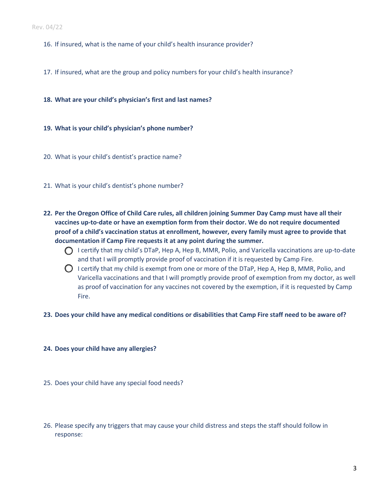- 16. If insured, what is the name of your child's health insurance provider?
- 17. If insured, what are the group and policy numbers for your child's health insurance?
- **18. What are your child's physician's first and last names?**
- **19. What is your child's physician's phone number?**
- 20. What is your child's dentist's practice name?
- 21. What is your child's dentist's phone number?
- **22. Per the Oregon Office of Child Care rules, all children joining Summer Day Camp must have all their vaccines up-to-date or have an exemption form from their doctor. We do not require documented proof of a child's vaccination status at enrollment, however, every family must agree to provide that documentation if Camp Fire requests it at any point during the summer.** 
	- $\bigcap$  I certify that my child's DTaP, Hep A, Hep B, MMR, Polio, and Varicella vaccinations are up-to-date and that I will promptly provide proof of vaccination if it is requested by Camp Fire.
	- $\bigcirc$  I certify that my child is exempt from one or more of the DTaP, Hep A, Hep B, MMR, Polio, and Varicella vaccinations and that I will promptly provide proof of exemption from my doctor, as well as proof of vaccination for any vaccines not covered by the exemption, if it is requested by Camp Fire.
- **23. Does your child have any medical conditions or disabilities that Camp Fire staff need to be aware of?**
- **24. Does your child have any allergies?**
- 25. Does your child have any special food needs?
- 26. Please specify any triggers that may cause your child distress and steps the staff should follow in response: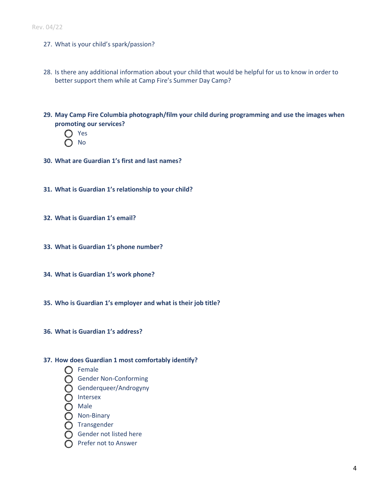- 27. What is your child's spark/passion?
- 28. Is there any additional information about your child that would be helpful for us to know in order to better support them while at Camp Fire's Summer Day Camp?
- **29. May Camp Fire Columbia photograph/film your child during programming and use the images when promoting our services?**
	- Yes b. No
- **30. What are Guardian 1's first and last names?**
- **31. What is Guardian 1's relationship to your child?**
- **32. What is Guardian 1's email?**
- **33. What is Guardian 1's phone number?**
- **34. What is Guardian 1's work phone?**
- **35. Who is Guardian 1's employer and what is their job title?**
- **36. What is Guardian 1's address?**

## **37. How does Guardian 1 most comfortably identify?**

- $\bigcap$  Female
- **C** Gender Non-Conforming
- Genderqueer/Androgyny
- $\bigcap$  Intersex
- $\bigcirc$  Male
- **O** Non-Binary
- $\bigcap$  Transgender
- $\bigcap$  Gender not listed here
- $\bigcap$  Prefer not to Answer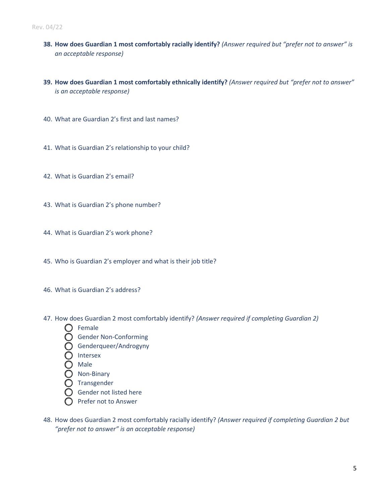- **38. How does Guardian 1 most comfortably racially identify?** *(Answer required but "prefer not to answer" is an acceptable response)*
- **39. How does Guardian 1 most comfortably ethnically identify?** *(Answer required but "prefer not to answer" is an acceptable response)*
- 40. What are Guardian 2's first and last names?
- 41. What is Guardian 2's relationship to your child?
- 42. What is Guardian 2's email?
- 43. What is Guardian 2's phone number?
- 44. What is Guardian 2's work phone?
- 45. Who is Guardian 2's employer and what is their job title?
- 46. What is Guardian 2's address?
- 47. How does Guardian 2 most comfortably identify? *(Answer required if completing Guardian 2)*
	- $\bigcap$  Female
	- **C** Gender Non-Conforming
	- Genderqueer/Androgyny
	- $\bigcap$  Intersex
	- **Male**
	- $\bigcirc$  Non-Binary
	- $\bigcirc$  Transgender
	- $\bigcirc$  Gender not listed here
	- $\bigcirc$  Prefer not to Answer
- 48. How does Guardian 2 most comfortably racially identify? *(Answer required if completing Guardian 2 but "prefer not to answer" is an acceptable response)*